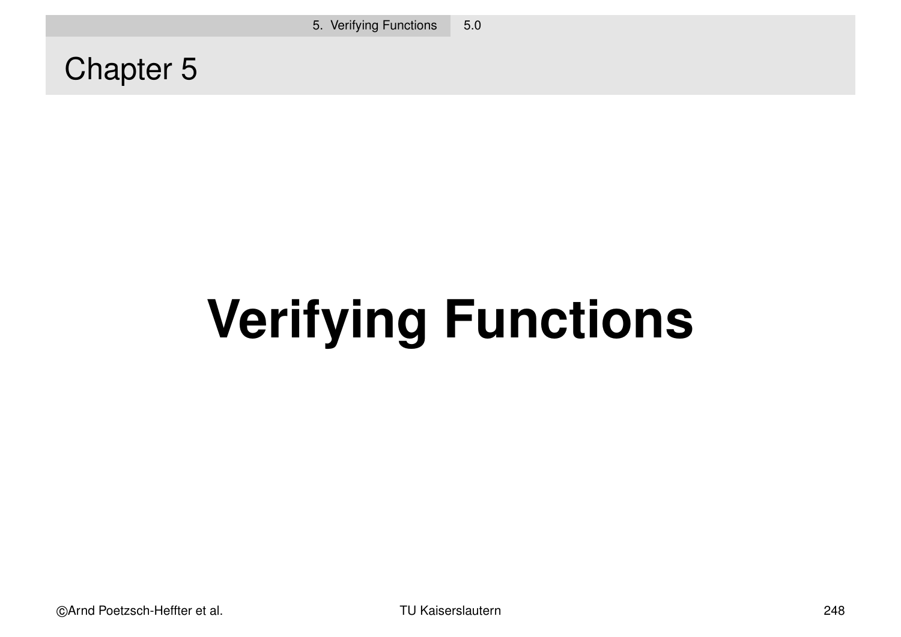Chapter 5

# **Verifying Functions**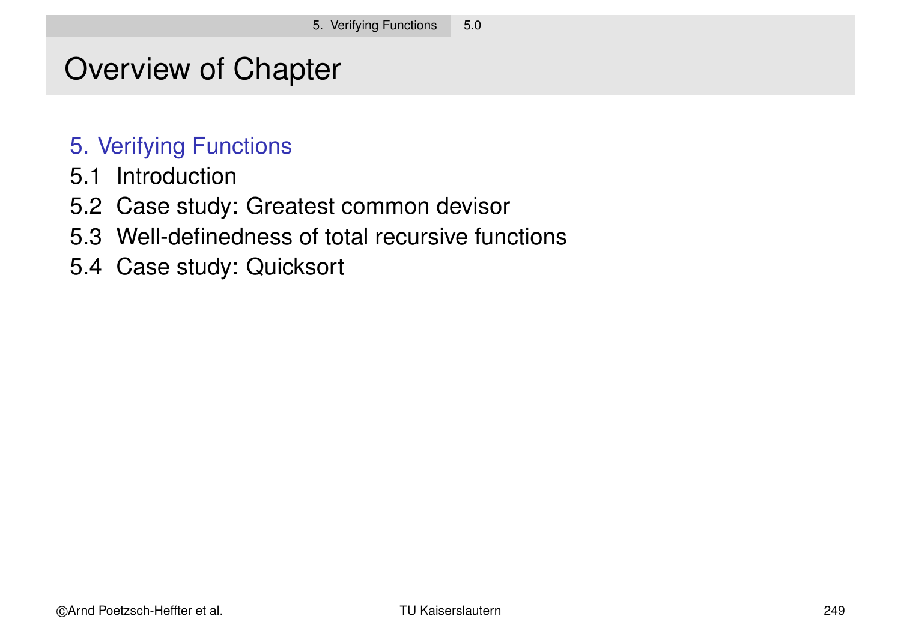## Overview of Chapter

#### 5. Verifying Functions

- 5.1 Introduction
- 5.2 Case study: Greatest common devisor
- 5.3 Well-definedness of total recursive functions
- 5.4 Case study: Quicksort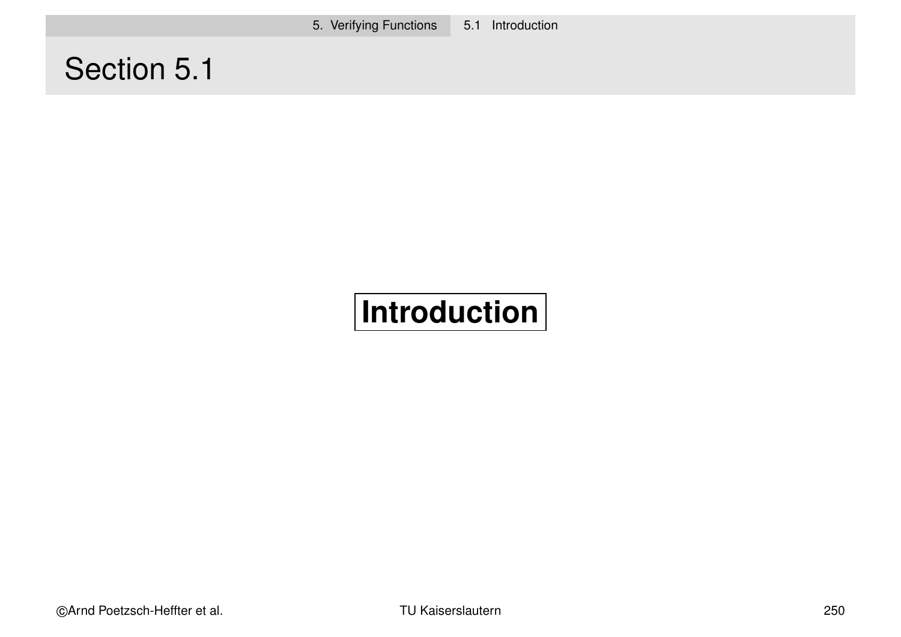5. Verifying Functions 5.1 Introduction

# Section 5.1

# **Introduction**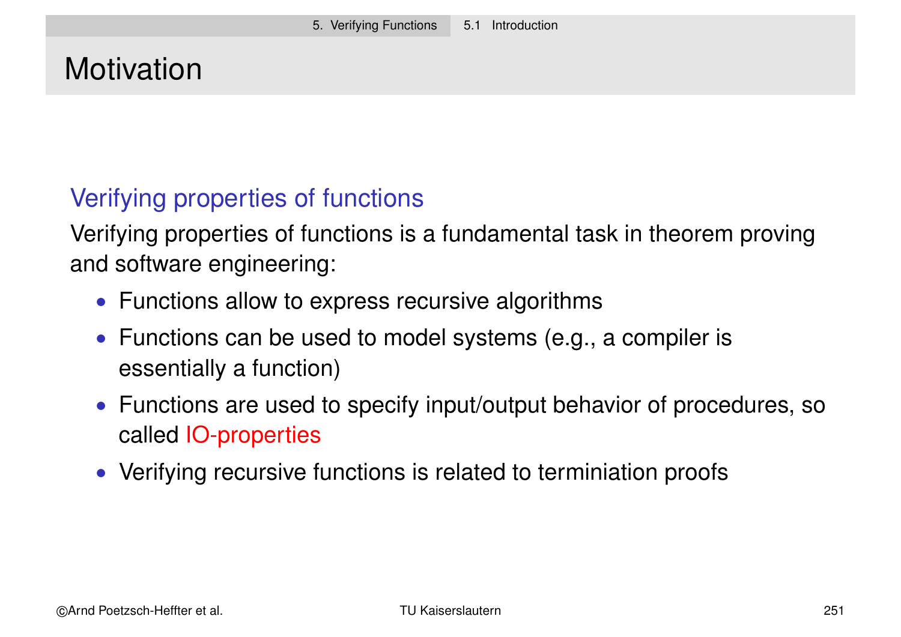# **Motivation**

## Verifying properties of functions

Verifying properties of functions is a fundamental task in theorem proving and software engineering:

- Functions allow to express recursive algorithms
- Functions can be used to model systems (e.g., a compiler is essentially a function)
- Functions are used to specify input/output behavior of procedures, so called IO-properties
- Verifying recursive functions is related to terminiation proofs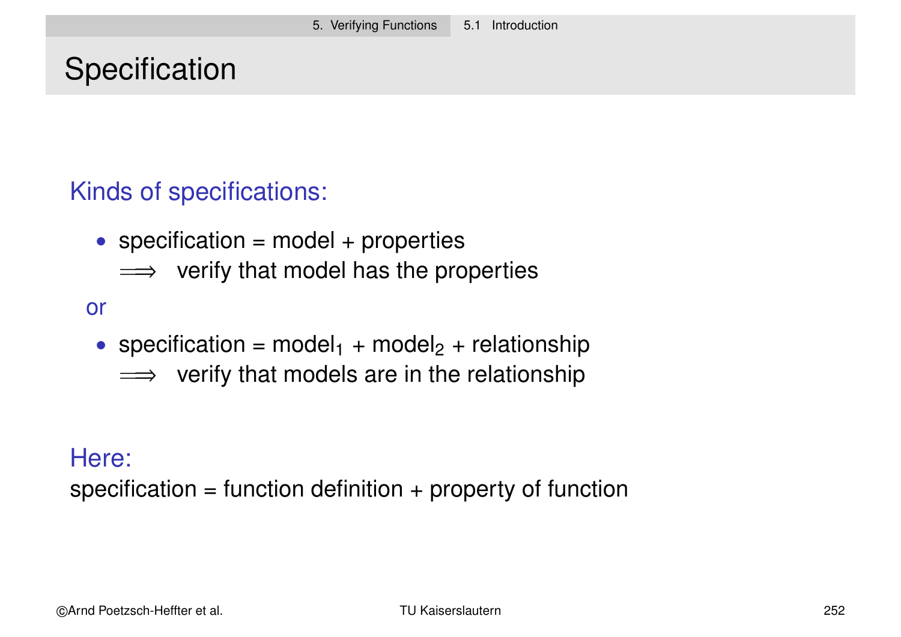# **Specification**

## Kinds of specifications:

- specification = model + properties
	- $\implies$  verify that model has the properties

or

- specification =  $model_1 + model_2 + relationship$ 
	- $\implies$  verify that models are in the relationship

Here:

specification = function definition  $+$  property of function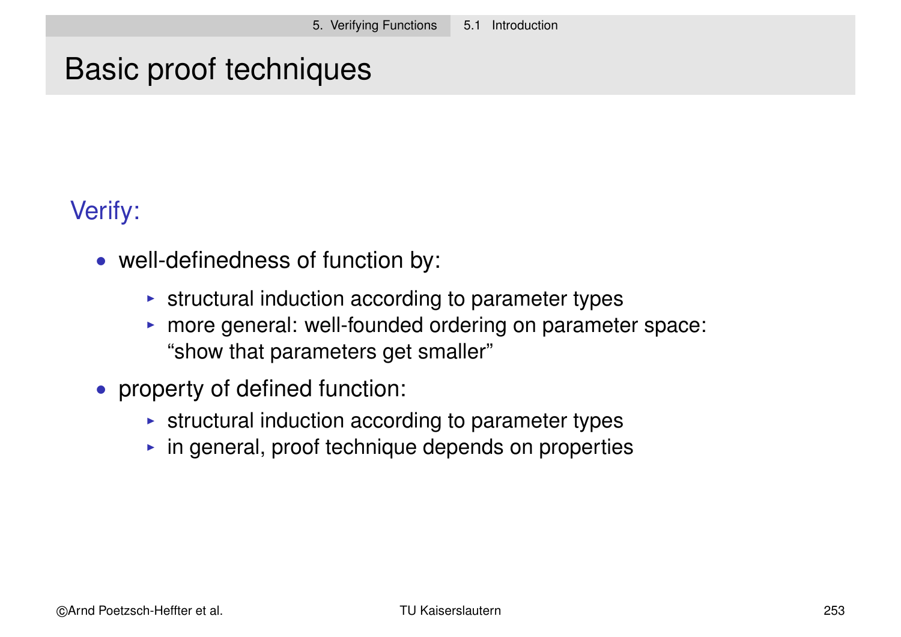# Basic proof techniques

## Verify:

- well-definedness of function by:
	- $\triangleright$  structural induction according to parameter types
	- $\triangleright$  more general: well-founded ordering on parameter space: "show that parameters get smaller"
- property of defined function:
	- $\triangleright$  structural induction according to parameter types
	- $\triangleright$  in general, proof technique depends on properties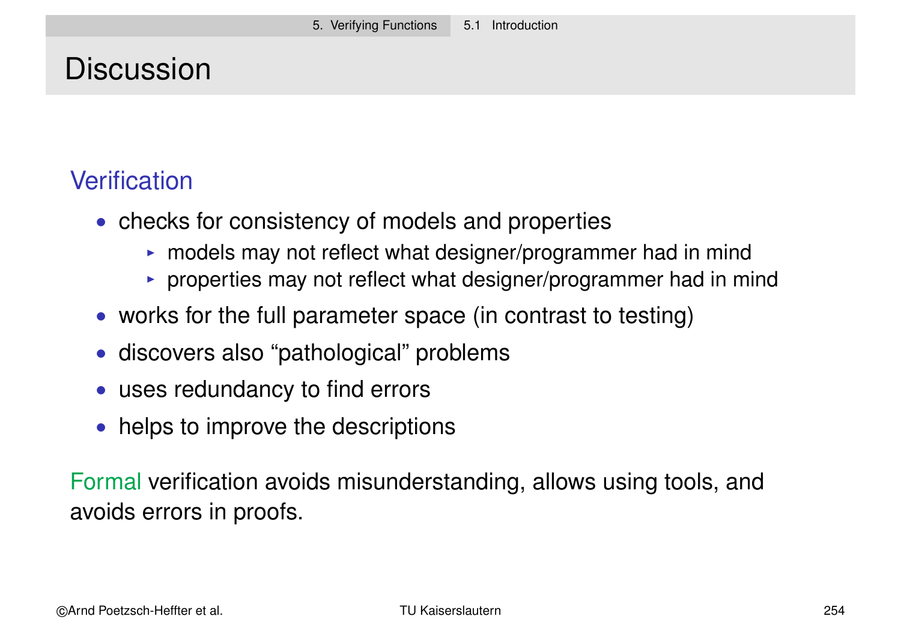# **Discussion**

## **Verification**

- checks for consistency of models and properties
	- $\triangleright$  models may not reflect what designer/programmer had in mind
	- $\triangleright$  properties may not reflect what designer/programmer had in mind
- works for the full parameter space (in contrast to testing)
- discovers also "pathological" problems
- uses redundancy to find errors
- helps to improve the descriptions

Formal verification avoids misunderstanding, allows using tools, and avoids errors in proofs.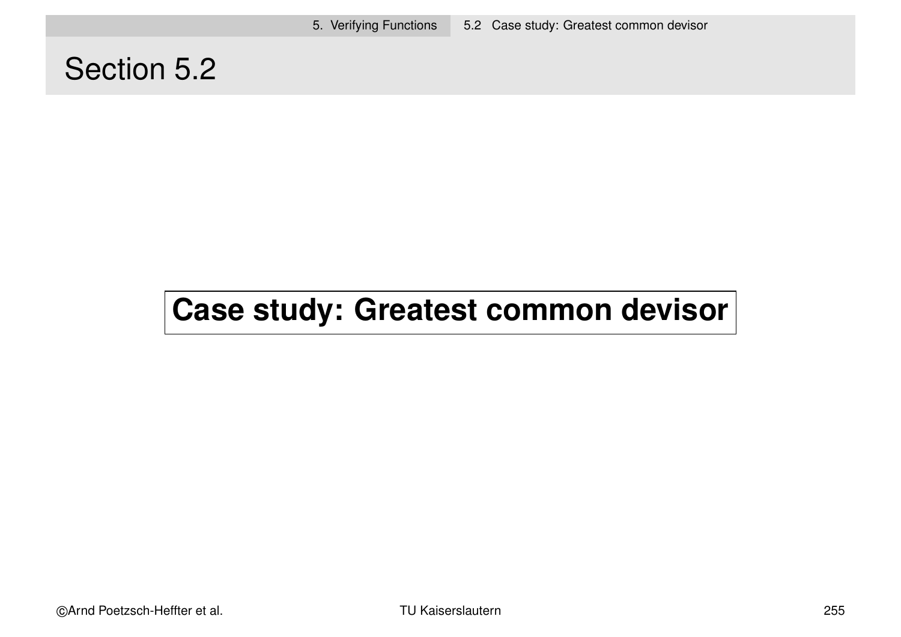5. Verifying Functions 5.2 Case study: Greatest common devisor

## Section 5.2

# **Case study: Greatest common devisor**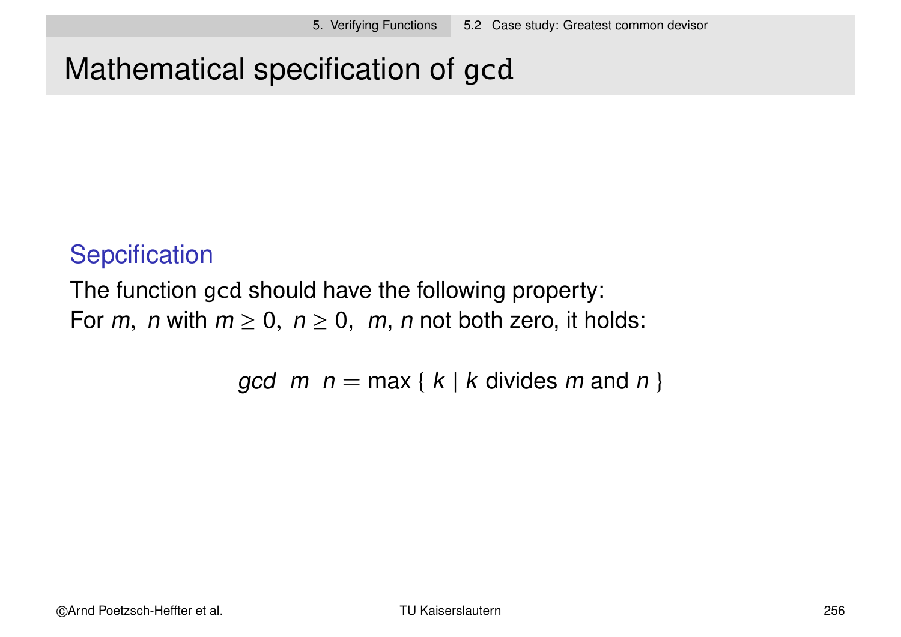# Mathematical specification of gcd

## **Sepcification**

The function gcd should have the following property: For m, n with  $m \ge 0$ ,  $n \ge 0$ , m, n not both zero, it holds:

gcd  $m$   $n = \max \{ k | k$  divides m and n }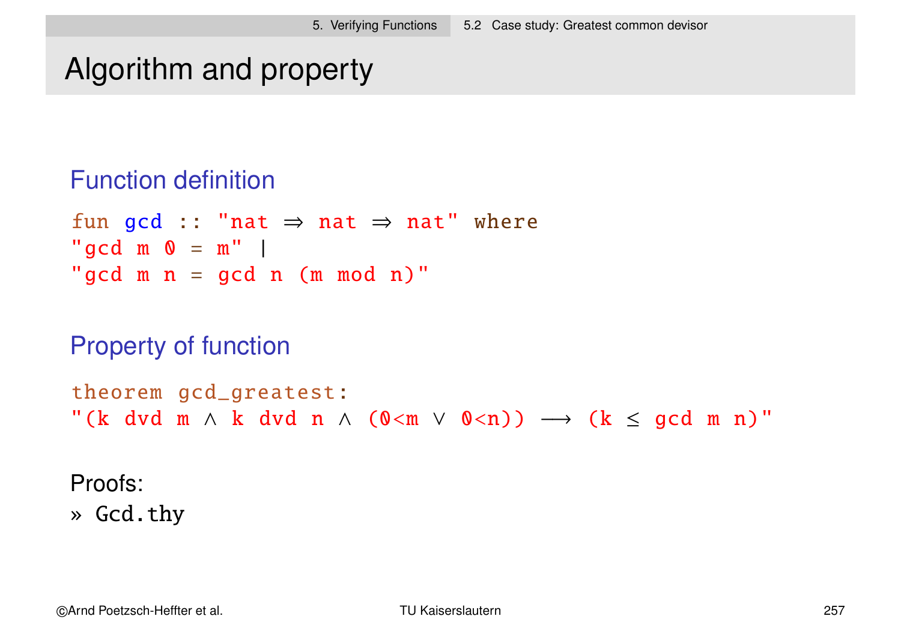# Algorithm and property

#### Function definition

fun gcd :: "nat  $\Rightarrow$  nat  $\Rightarrow$  nat" where "gcd  $m \space 0 = m"$  | "gcd  $m$   $n$  = gcd  $n$  ( $m$   $mod$   $n$ )"

#### Property of function

```
theorem gcd_greatest:
"(k dvd m \wedge k dvd n \wedge (0<m \vee 0<n)) \longrightarrow (k \le gcd m n)"
```
Proofs:

» Gcd.thy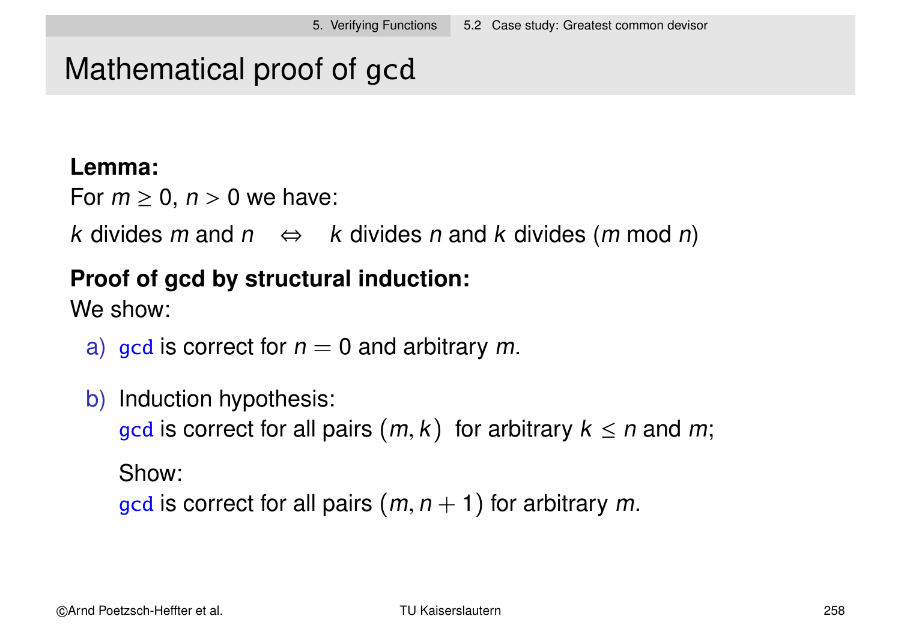## Mathematical proof of gcd

#### **Lemma:**

For  $m \geq 0$ ,  $n > 0$  we have:

k divides m and  $n \Leftrightarrow k$  divides n and k divides  $(m \mod n)$ 

#### **Proof of gcd by structural induction:**

We show:

- a) gcd is correct for  $n = 0$  and arbitrary m.
- b) Induction hypothesis: gcd is correct for all pairs  $(m, k)$  for arbitrary  $k \leq n$  and m; Show: gcd is correct for all pairs  $(m, n + 1)$  for arbitrary m.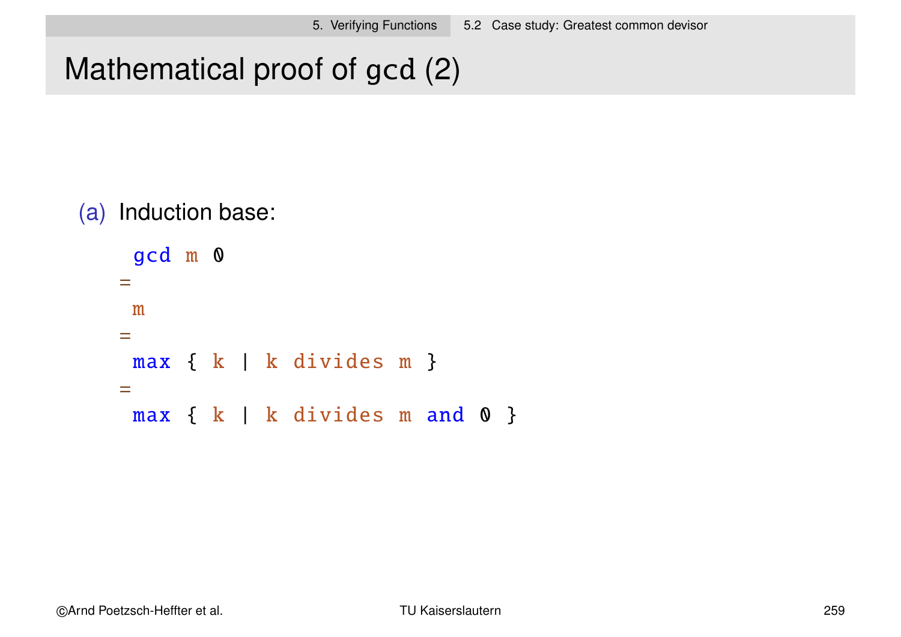# Mathematical proof of gcd (2)

#### (a) Induction base:

```
gcd m 0
=m
=max { k | k divides m }
=max { k | k divides m and 0 }
```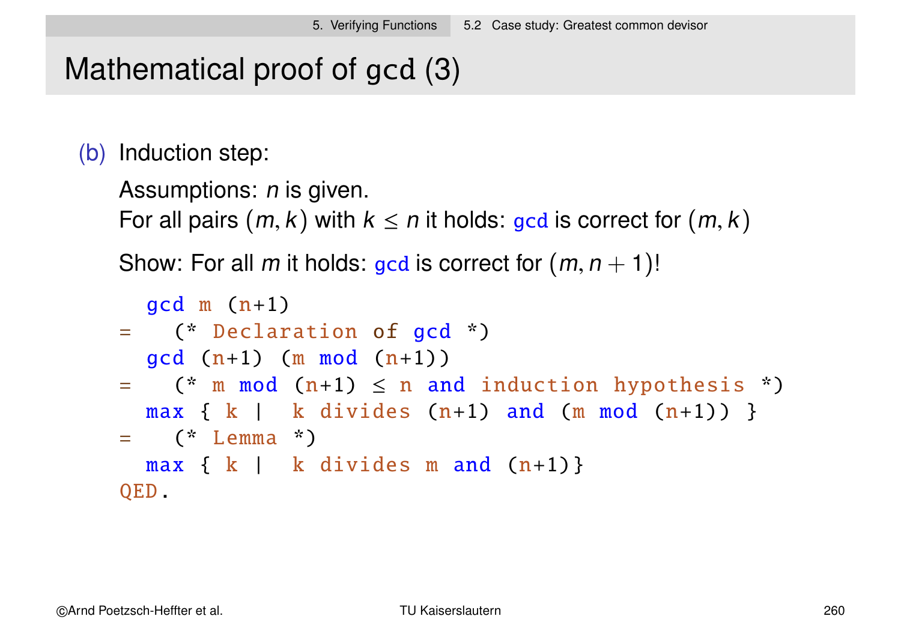# Mathematical proof of gcd (3)

(b) Induction step:

```
Assumptions: n is given.
```
For all pairs  $(m, k)$  with  $k \leq n$  it holds: gcd is correct for  $(m, k)$ 

Show: For all m it holds: gcd is correct for  $(m, n + 1)!$ 

```
gcd m (n+1)= (* Declaration of gcd *)
  gcd(n+1) (m mod (n+1))
= (* m mod (n+1) \leq n and induction hypothesis *)
  max \{ k \mid k \text{ divides } (n+1) \text{ and } (m \text{ mod } (n+1)) \}= (* Lemma *)
  max \{ k \mid k \text{ divides } m \text{ and } (n+1) \}QED.
```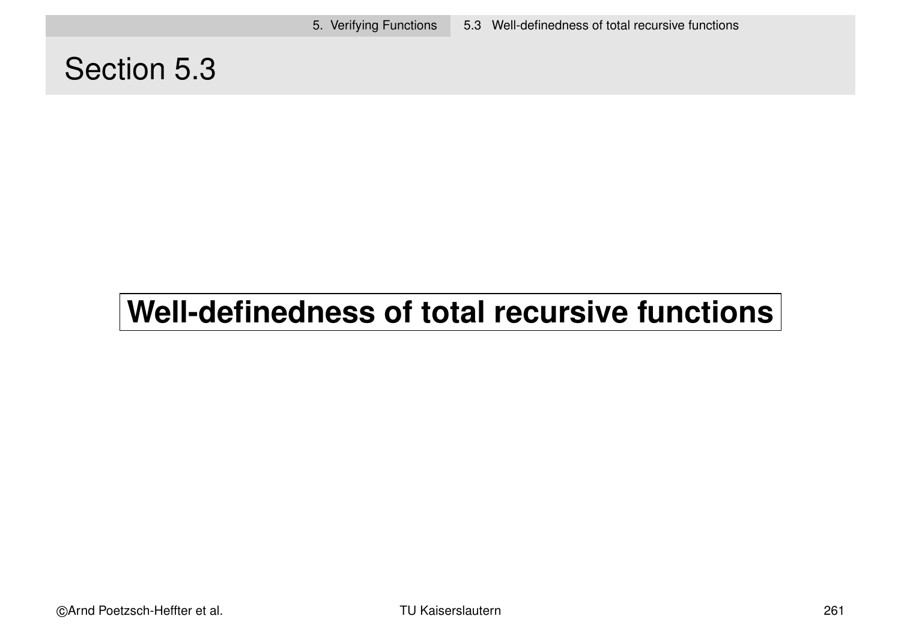5. Verifying Functions 5.3 Well-definedness of total recursive functions

## Section 5.3

# **Well-definedness of total recursive functions**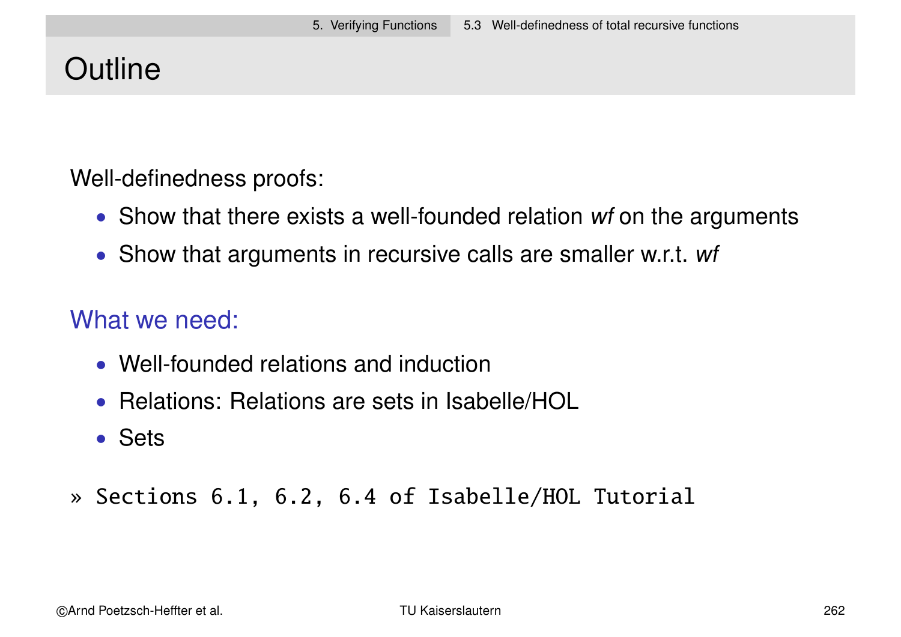# **Outline**

Well-definedness proofs:

- Show that there exists a well-founded relation wf on the arguments
- Show that arguments in recursive calls are smaller w.r.t. wf

## What we need:

- Well-founded relations and induction
- Relations: Relations are sets in Isabelle/HOL
- Sets
- » Sections 6.1, 6.2, 6.4 of Isabelle/HOL Tutorial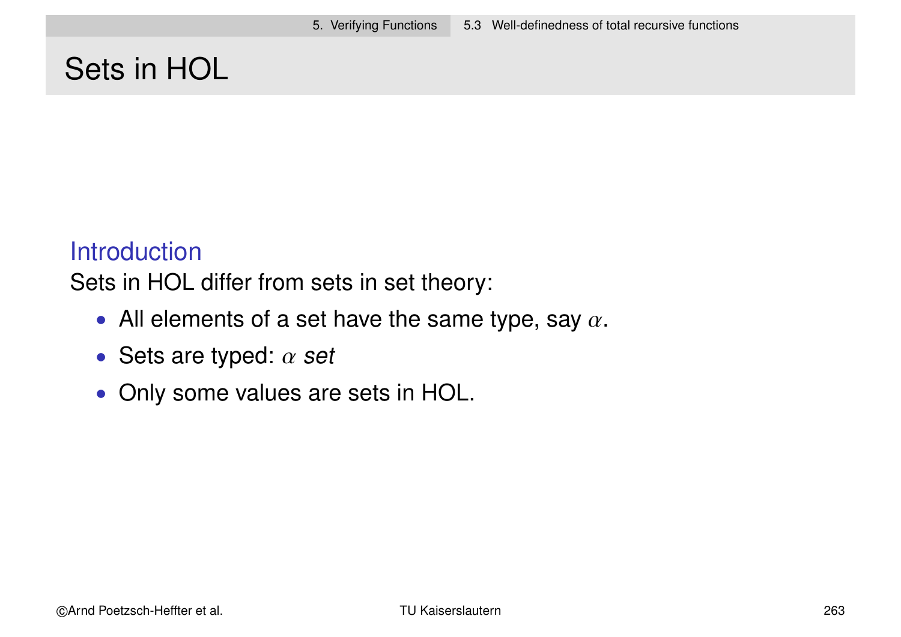# Sets in HOL

#### **Introduction**

Sets in HOL differ from sets in set theory:

- All elements of a set have the same type, say  $\alpha$ .
- Sets are typed:  $\alpha$  set
- Only some values are sets in HOL.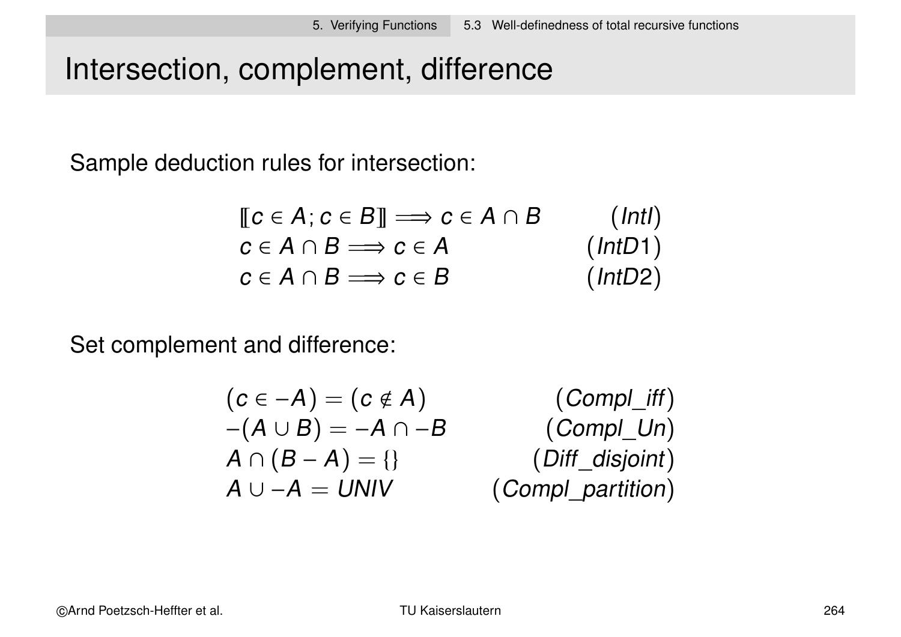# Intersection, complement, difference

Sample deduction rules for intersection:

$$
\begin{array}{ll}\n\llbracket c \in A; c \in B \rrbracket \Longrightarrow c \in A \cap B & (\text{Int1}) \\
c \in A \cap B \Longrightarrow c \in A & (\text{Int21}) \\
c \in A \cap B \Longrightarrow c \in B & (\text{Int22})\n\end{array}
$$

Set complement and difference:

$$
(c \in -A) = (c \notin A)
$$
 (Compl\_iff)  
\n
$$
-(A \cup B) = -A \cap -B
$$
 (Compl\_lmf)  
\n
$$
A \cap (B - A) = \{\}
$$
 (Diff\_ldisjoint)  
\n
$$
A \cup -A = UNIV
$$
 (Compl\_partition)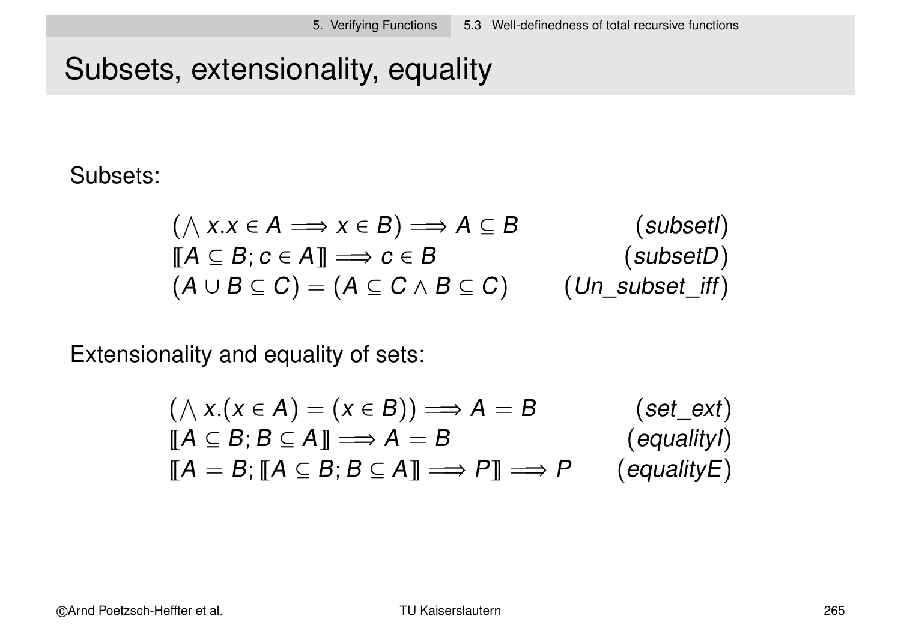# Subsets, extensionality, equality

#### Subsets:

$$
(\land x.x \in A \implies x \in B) \implies A \subseteq B \qquad \qquad \text{(subset!)}\llbracket A \subseteq B; c \in A \rrbracket \implies c \in B \qquad \qquad \text{(subset!)}\left(A \cup B \subseteq C\right) = \left(A \subseteq C \land B \subseteq C\right) \qquad \text{(Un\_subset!} \text{iff)}
$$

Extensionality and equality of sets:

$$
(\land x.(x \in A) = (x \in B)) \Longrightarrow A = B \qquad (set\_ext)
$$
  
\n
$$
[\![A \subseteq B; B \subseteq A ]\!] \Longrightarrow A = B \qquad (equality1)
$$
  
\n
$$
[\![A = B; [\![A \subseteq B; B \subseteq A ]\!] \Longrightarrow P ]\!] \Longrightarrow P \qquad (equalityE)
$$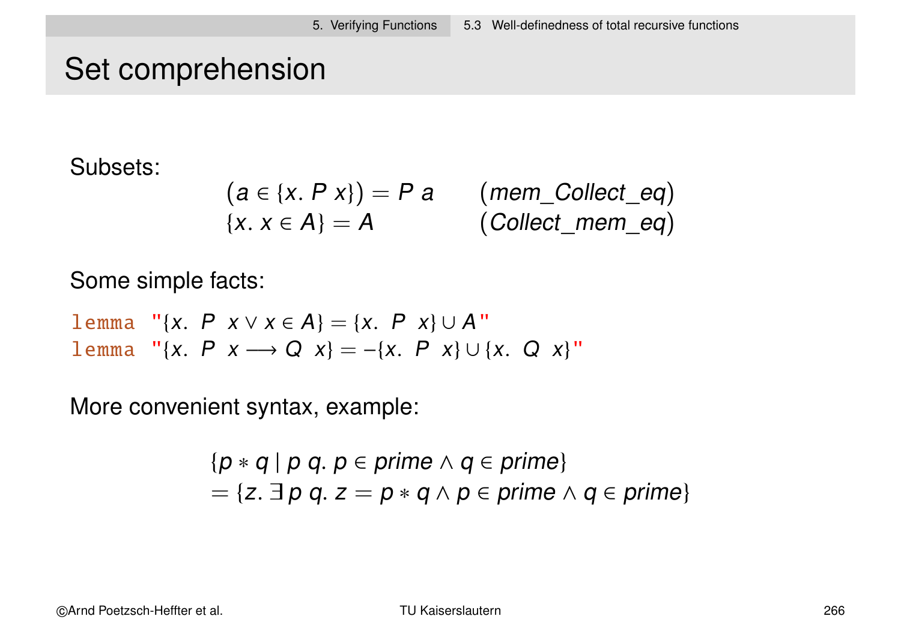# Set comprehension

Subsets:

$$
(a \in \{x. P x\}) = P a \qquad (mem\_Collect\_eq)
$$
  

$$
\{x. x \in A\} = A \qquad (Collect\_mem\_eq)
$$

Some simple facts:

lemma "{x. P  $x \lor x \in A$ } = {x. P  $x$ } ∪ A" lemma "{x. P x → Q x} = -{x. P x} ∪ {x. Q x}"

More convenient syntax, example:

$$
\{p * q \mid p q. p \in prime \land q \in prime\}
$$
  
=  $\{z. \exists p q. z = p * q \land p \in prime \land q \in prime\}$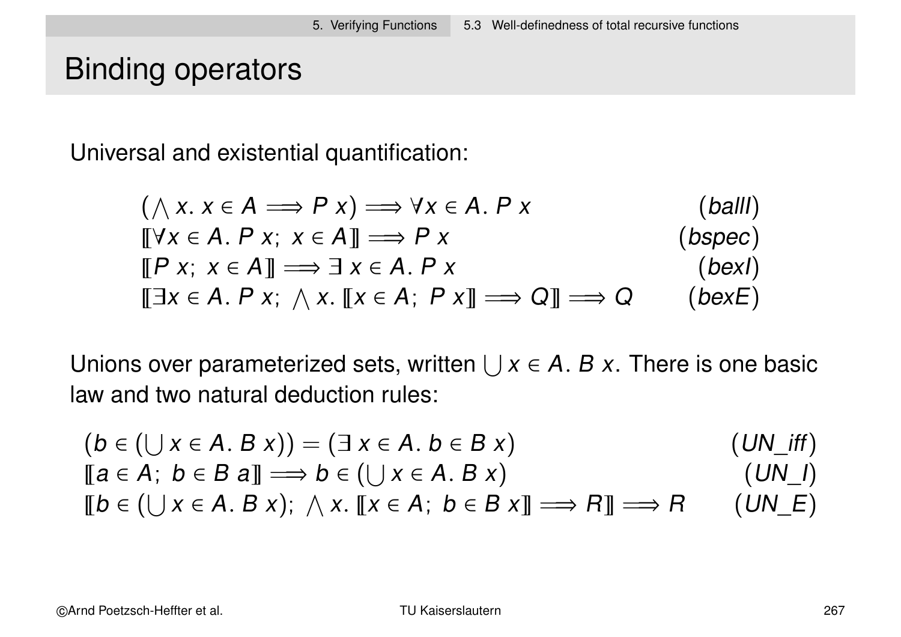## Binding operators

Universal and existential quantification:

$$
(\wedge x. x \in A \implies P x) \implies \forall x \in A. P x
$$
\n
$$
[[\forall x \in A. P x; x \in A]] \implies P x
$$
\n
$$
[[P x; x \in A]] \implies \exists x \in A. P x
$$
\n
$$
[[B x, x \in A]] \implies \exists x \in A. P x
$$
\n
$$
[[B x, x \in A. P x; x \in A, P x]] \implies Q]] \implies Q
$$
\n
$$
([bex])
$$
\n
$$
([Bx, B x, x \in A]] \implies [A \in A, P x]] \implies Q
$$
\n
$$
([bex])
$$

Unions over parameterized sets, written  $\bigcup x \in A$ . B x. There is one basic law and two natural deduction rules:

$$
(b \in (\bigcup x \in A. B x)) = (\exists x \in A. b \in B x)
$$
  
\n
$$
[[a \in A; b \in B a]] \Longrightarrow b \in (\bigcup x \in A. B x)
$$
  
\n
$$
[[b \in (\bigcup x \in A. B x); \land x. [[x \in A; b \in B x]] \Longrightarrow R]] \Longrightarrow R
$$
  
\n
$$
(UN_f)
$$
  
\n
$$
(UN_f)
$$

©Arnd Poetzsch-Heffter et al. TU Kaiserslautern 267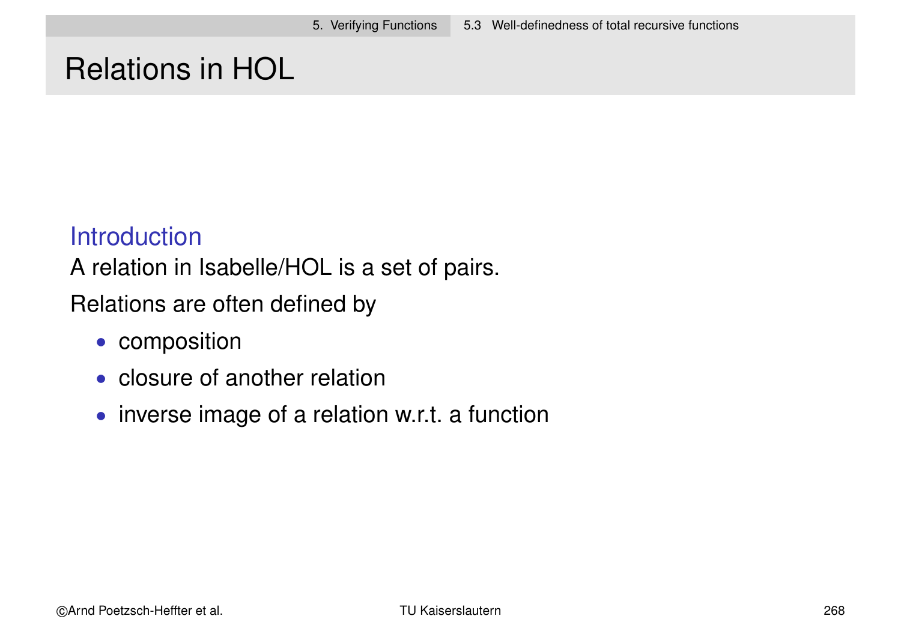## Relations in HOL

#### **Introduction**

A relation in Isabelle/HOL is a set of pairs.

Relations are often defined by

- composition
- closure of another relation
- inverse image of a relation w.r.t. a function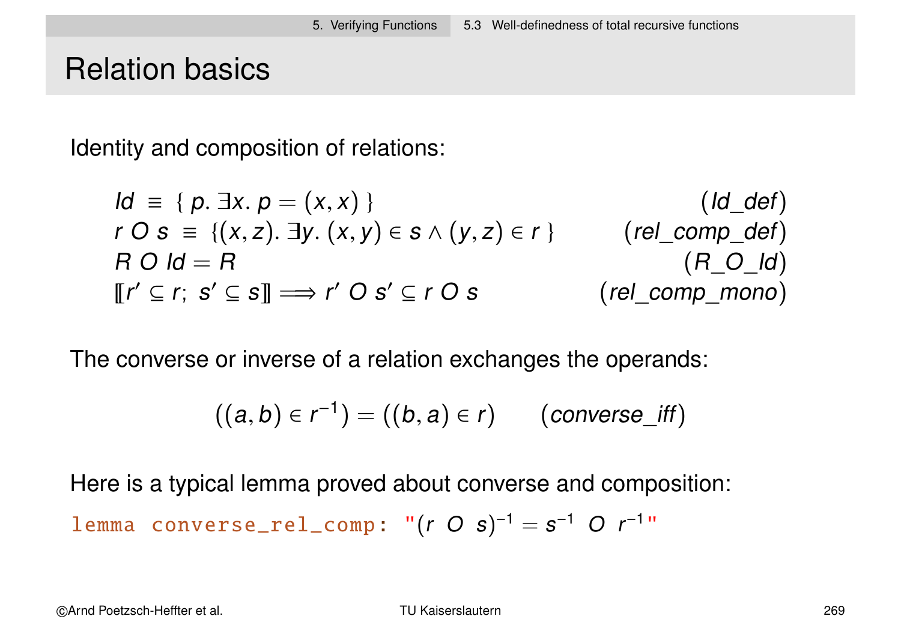## Relation basics

Identity and composition of relations:

$$
Id = \{ p. \exists x. p = (x, x) \}
$$
\n
$$
r \cap s = \{ (x, z). \exists y. (x, y) \in s \land (y, z) \in r \}
$$
\n
$$
(rel\_comp\_def)
$$
\n
$$
R \cap Id = R
$$
\n
$$
[[r' \subseteq r; s' \subseteq s]] \Longrightarrow r' \cap s' \subseteq r \cap s
$$
\n
$$
(rel\_comp\_mono)
$$

The converse or inverse of a relation exchanges the operands:

$$
((a,b)\in r^{-1})=((b,a)\in r) \qquad (converse\_iff)
$$

Here is a typical lemma proved about converse and composition:

lemma 
$$
\text{converse\_rel\_comp}: \, \text{``(r O s)}^{-1} = s^{-1} \, \text{O} \, \text{r}^{-1} \, \text{''}
$$

©Arnd Poetzsch-Heffter et al. TU Kaiserslautern 269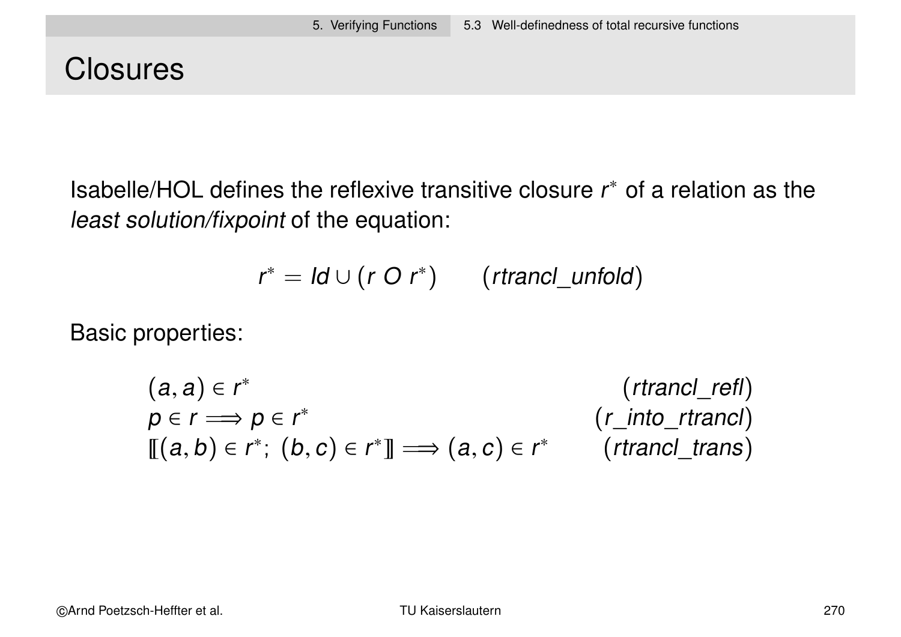## **Closures**

Isabelle/HOL defines the reflexive transitive closure  $r^*$  of a relation as the least solution/fixpoint of the equation:

$$
r^* = \mathsf{Id} \cup (r \ O \ r^*) \qquad (\mathsf{rtranol\_unfold})
$$

Basic properties:

$$
(a, a) \in r^* \qquad \qquad (r \text{trancl\_refl})
$$
\n
$$
p \in r \Longrightarrow p \in r^* \qquad \qquad (r\_into\_r \text{trancl})
$$
\n
$$
[[ (a, b) \in r^* ; (b, c) \in r^* ] \Longrightarrow (a, c) \in r^* \qquad \qquad (r \text{trancl\_trans})
$$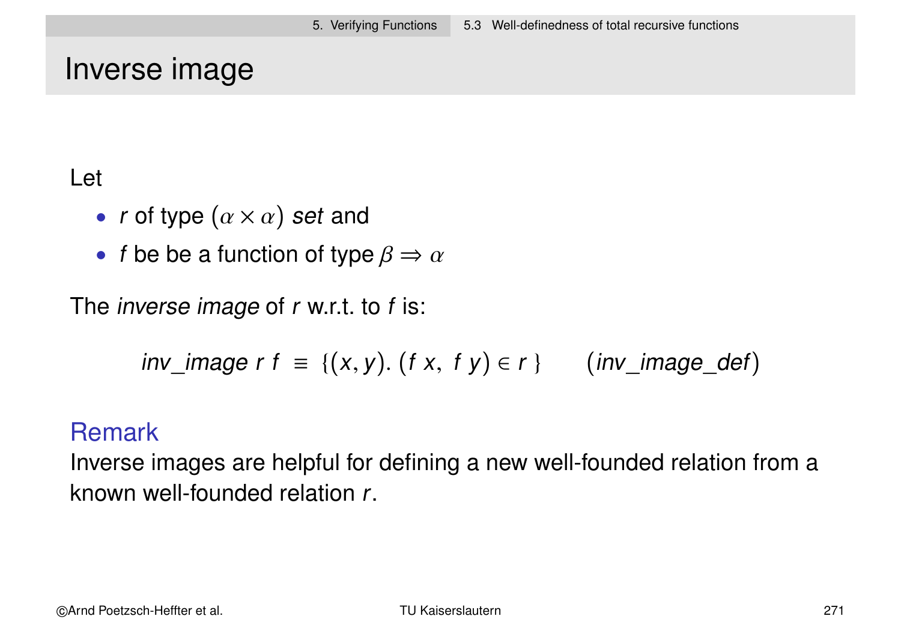## Inverse image

#### Let

- r of type  $(\alpha \times \alpha)$  set and
- f be be a function of type  $\beta \Rightarrow \alpha$

The *inverse image* of r w.r.t. to f is:

$$
inv\_image \; r \; f \; \equiv \; \{ (x,y). \; (f \; x, \; f \; y) \in r \; \} \qquad (inv\_image\_def)
$$

#### Remark

Inverse images are helpful for defining a new well-founded relation from a known well-founded relation r.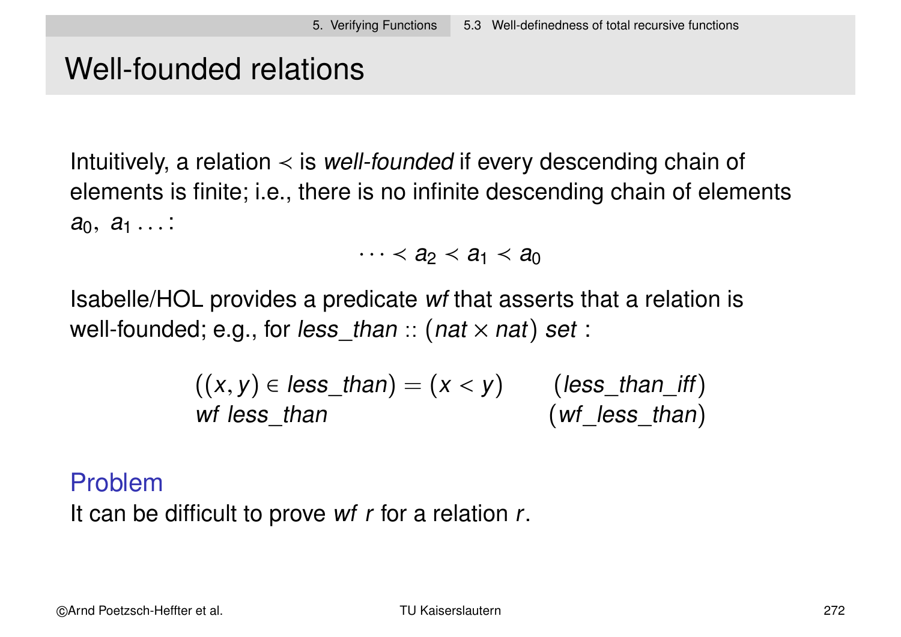# Well-founded relations

Intuitively, a relation  $\prec$  is *well-founded* if every descending chain of elements is finite; i.e., there is no infinite descending chain of elements  $a_0, a_1 \ldots$ 

 $\cdots$   $\lt$   $a_2$   $\lt$   $a_1$   $\lt$   $a_0$ 

Isabelle/HOL provides a predicate wf that asserts that a relation is well-founded; e.g., for less than  $::$  (nat  $\times$  nat) set :

| $((x, y) \in less\_than) = (x < y)$ | $(less_{\text{than}_{\text{eff}}})$ |
|-------------------------------------|-------------------------------------|
| wf less than                        | $(wf_{\text{less}_t}$ than          |

#### Problem

It can be difficult to prove wf r for a relation r.

©Arnd Poetzsch-Heffter et al. TU Kaiserslautern 272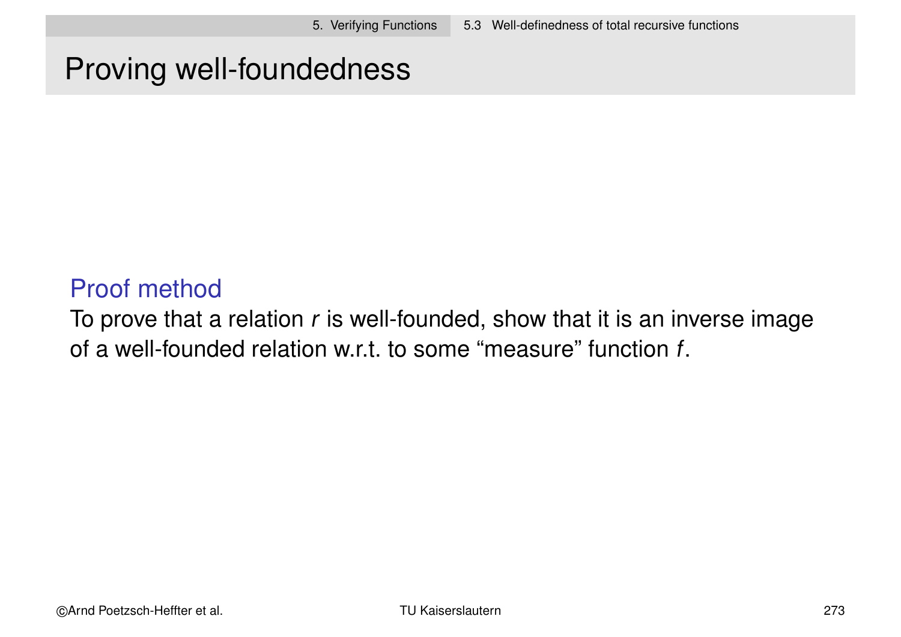# Proving well-foundedness

### Proof method

To prove that a relation  $r$  is well-founded, show that it is an inverse image of a well-founded relation w.r.t. to some "measure" function f.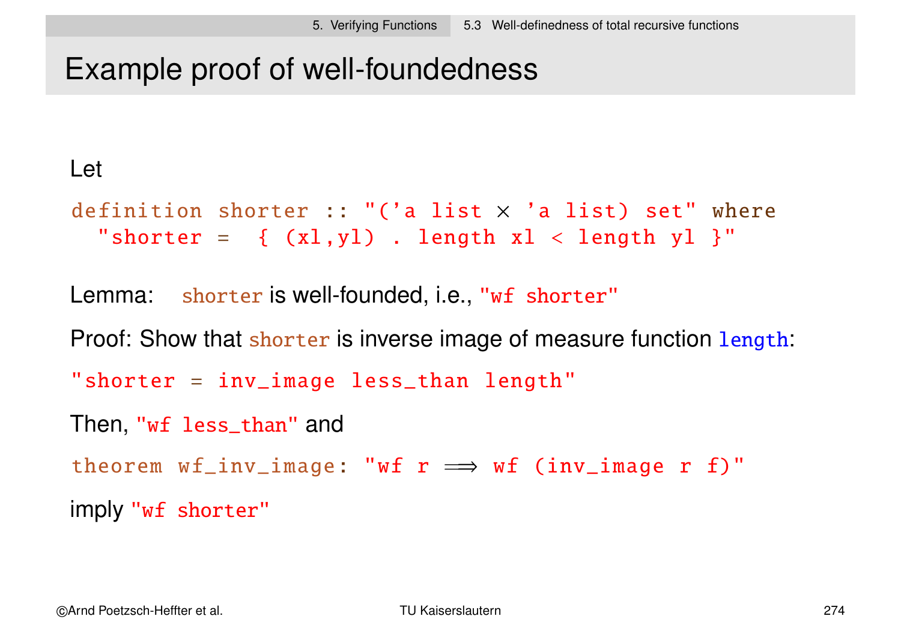# Example proof of well-foundedness

#### Let

```
definition shorter :: "('a list \times 'a list) set" where
  "shorter = \{ (x1, y1) . length x1 < length y1 }"
```
Lemma: shorter is well-founded, i.e., "wf shorter"

Proof: Show that shorter is inverse image of measure function length:

```
"shorter = inv_image less_than length"
```

```
Then, "wf less_than" and
```
theorem  $wf_inv\_image: "wf r \implies wf (inv\_image r f)"$ 

imply "wf shorter"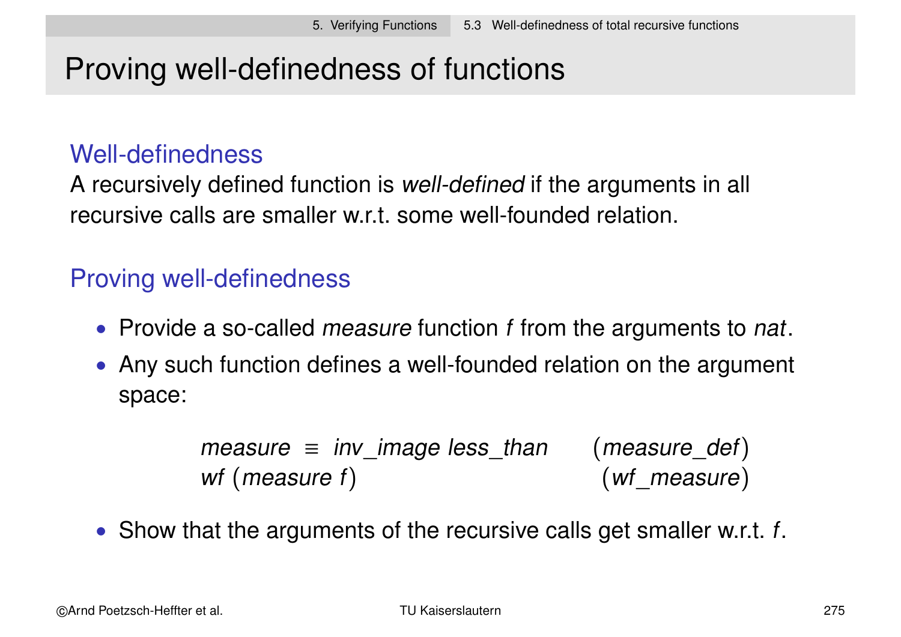# Proving well-definedness of functions

#### Well-definedness

A recursively defined function is well-defined if the arguments in all recursive calls are smaller w.r.t. some well-founded relation.

## Proving well-definedness

- Provide a so-called *measure* function f from the arguments to nat.
- Any such function defines a well-founded relation on the argument space:

```
measure \equiv inv_image less_than (measure_def)<br>wf (measure f) (wf measure)
wf (measure f)
```
• Show that the arguments of the recursive calls get smaller w.r.t.  $f$ .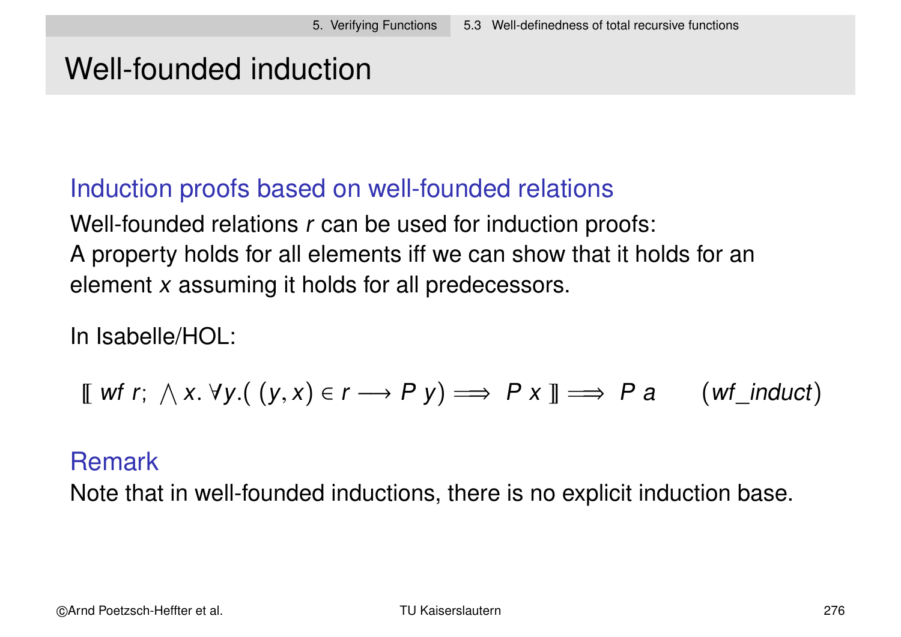# Well-founded induction

## Induction proofs based on well-founded relations

Well-founded relations r can be used for induction proofs: A property holds for all elements iff we can show that it holds for an element x assuming it holds for all predecessors.

In Isabelle/HOL:

$$
\llbracket \text{wf } r; \wedge x. \forall y. ((y, x) \in r \longrightarrow P \text{ y}) \Longrightarrow P \text{ x } \rrbracket \Longrightarrow P \text{ a } (wf\_induct)
$$

#### Remark

Note that in well-founded inductions, there is no explicit induction base.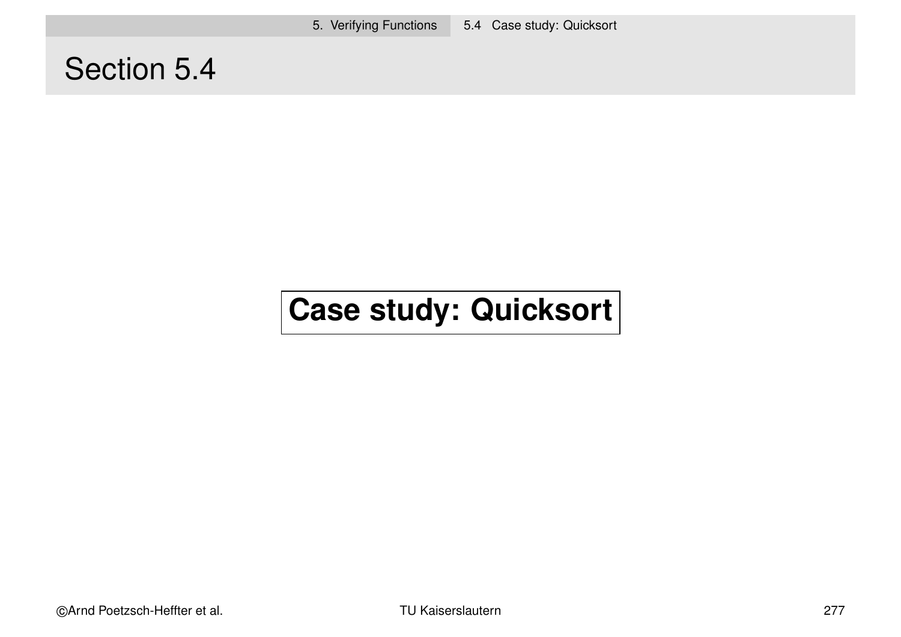5. Verifying Functions 5.4 Case study: Quicksort

# Section 5.4

# **Case study: Quicksort**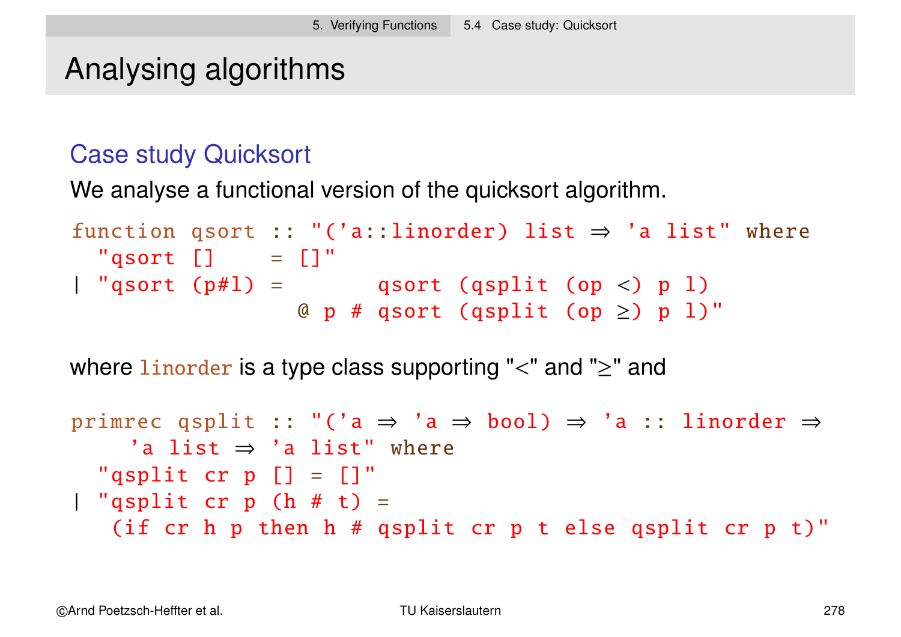# Analysing algorithms

#### Case study Quicksort

We analyse a functional version of the quicksort algorithm.

```
function qsort :: "('a::linorder) list \Rightarrow 'a list" where
 "qsort [] = []"| "qsort (p\#1) = qsort (qsplit (op <) p l)
                 @ p # qsort (qsplit (op \ge) p l)"
```
where linorder is a type class supporting " $\lt$ " and " $\geq$ " and

```
primrec qsplit :: "('a \Rightarrow 'a \Rightarrow bool) \Rightarrow 'a :: linorder \Rightarrow'a list ⇒ 'a list" where
  "qsplit cr p [] = []"| "qsplit cr p (h # t) =
   (if cr h p then h # qsplit cr p t else qsplit cr p t)"
```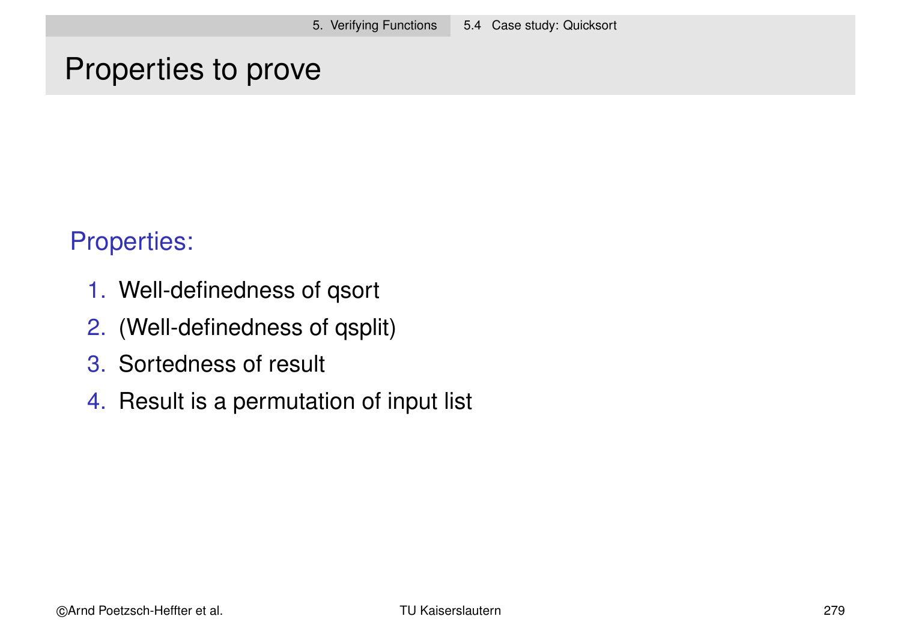## Properties to prove

#### Properties:

- 1. Well-definedness of qsort
- 2. (Well-definedness of qsplit)
- 3. Sortedness of result
- 4. Result is a permutation of input list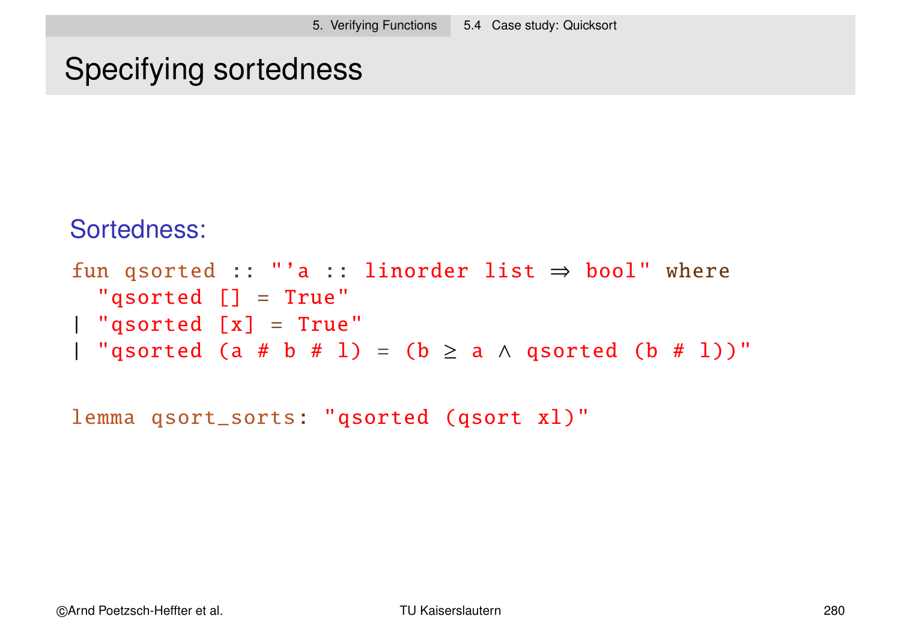# Specifying sortedness

#### Sortedness:

```
fun qsorted :: "'a :: linorder list \Rightarrow bool" where
  "qsorted [] = True"
| "qsorted [x] = True"
| "qsorted (a # b # l) = (b \ge a \land qsorted (b # l))"
```
lemma qsort\_sorts: "qsorted (qsort xl)"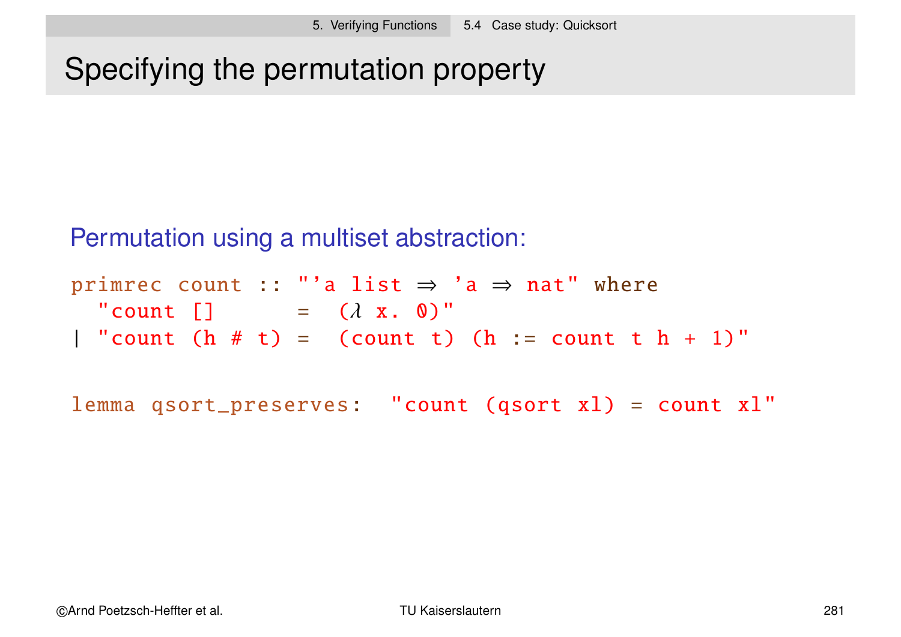# Specifying the permutation property

Permutation using a multiset abstraction:

primrec count :: "'a list  $\Rightarrow$  'a  $\Rightarrow$  nat" where "count  $\begin{bmatrix} 1 \end{bmatrix} = (\lambda \times . 0)^{n}$ | "count  $(h # t) = (count t) (h := count t h + 1)$ "

lemma qsort\_preserves: "count (qsort xl) = count xl"